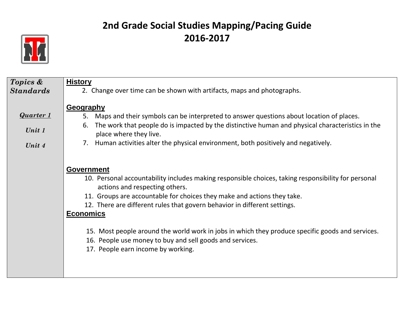

| Topics &         | <b>History</b>                                                                                                                        |
|------------------|---------------------------------------------------------------------------------------------------------------------------------------|
| <b>Standards</b> | 2. Change over time can be shown with artifacts, maps and photographs.                                                                |
|                  | <b>Geography</b>                                                                                                                      |
| <b>Quarter 1</b> | Maps and their symbols can be interpreted to answer questions about location of places.<br>5.                                         |
| Unit 1           | The work that people do is impacted by the distinctive human and physical characteristics in the<br>6.<br>place where they live.      |
| Unit 4           | Human activities alter the physical environment, both positively and negatively.<br>7.                                                |
|                  |                                                                                                                                       |
|                  | <b>Government</b>                                                                                                                     |
|                  | 10. Personal accountability includes making responsible choices, taking responsibility for personal<br>actions and respecting others. |
|                  | 11. Groups are accountable for choices they make and actions they take.                                                               |
|                  | 12. There are different rules that govern behavior in different settings.                                                             |
|                  | <b>Economics</b>                                                                                                                      |
|                  | 15. Most people around the world work in jobs in which they produce specific goods and services.                                      |
|                  | 16. People use money to buy and sell goods and services.                                                                              |
|                  | 17. People earn income by working.                                                                                                    |
|                  |                                                                                                                                       |
|                  |                                                                                                                                       |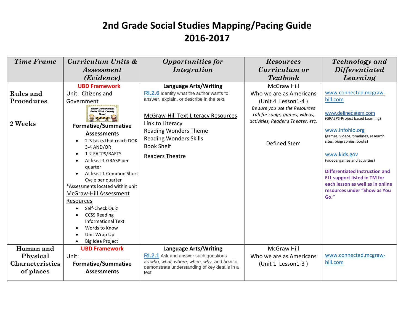| <b>Time Frame</b>                                            | Curriculum Units &                                                                                                                                                                                                                                                                                                            | <b>Opportunities for</b>                                                                                                                                                            | <b>Resources</b>                                                                                                     | <b>Technology</b> and                                                                                                                                                                               |
|--------------------------------------------------------------|-------------------------------------------------------------------------------------------------------------------------------------------------------------------------------------------------------------------------------------------------------------------------------------------------------------------------------|-------------------------------------------------------------------------------------------------------------------------------------------------------------------------------------|----------------------------------------------------------------------------------------------------------------------|-----------------------------------------------------------------------------------------------------------------------------------------------------------------------------------------------------|
|                                                              | <i>Assessment</i>                                                                                                                                                                                                                                                                                                             | Integration                                                                                                                                                                         | Curriculum or                                                                                                        | <i>Differentiated</i>                                                                                                                                                                               |
|                                                              | (Evidence)                                                                                                                                                                                                                                                                                                                    |                                                                                                                                                                                     | <b>Textbook</b>                                                                                                      | Learning                                                                                                                                                                                            |
|                                                              | <b>UBD Framework</b>                                                                                                                                                                                                                                                                                                          | <b>Language Arts/Writing</b>                                                                                                                                                        | <b>McGraw Hill</b>                                                                                                   |                                                                                                                                                                                                     |
| <b>Rules</b> and                                             | Unit: Citizens and                                                                                                                                                                                                                                                                                                            | <b>RI.2.6</b> Identify what the author wants to                                                                                                                                     | Who we are as Americans                                                                                              | www.connected.mcgraw-                                                                                                                                                                               |
| <b>Procedures</b>                                            | Government                                                                                                                                                                                                                                                                                                                    | answer, explain, or describe in the text.                                                                                                                                           | (Unit 4 Lesson1-4)                                                                                                   | hill.com                                                                                                                                                                                            |
| 2 Weeks                                                      | <b>Under Construction</b><br><b>Great Work Coming</b><br><b>Formative/Summative</b><br><b>Assessments</b><br>2-3 tasks that reach DOK<br>3-4 AND/OR                                                                                                                                                                           | McGraw-Hill Text Literacy Resources<br>Link to Literacy<br><b>Reading Wonders Theme</b><br><b>Reading Wonders Skills</b><br><b>Book Shelf</b>                                       | Be sure you use the Resources<br>Tab for songs, games, videos,<br>activities, Reader's Theater, etc.<br>Defined Stem | www.definedstem.com<br>(GRASPS-Project based Learning)<br>www.infohio.org<br>(games, videos, timelines, research<br>sites, biographies, books)                                                      |
|                                                              | 1-2 FATPS/RAFTS<br>$\bullet$<br>At least 1 GRASP per<br>quarter<br>At least 1 Common Short<br>Cycle per quarter<br>*Assessments located within unit<br><b>McGraw-Hill Assessment</b><br>Resources<br>Self-Check Quiz<br><b>CCSS Reading</b><br><b>Informational Text</b><br>Words to Know<br>Unit Wrap Up<br>Big Idea Project | <b>Readers Theatre</b>                                                                                                                                                              |                                                                                                                      | www.kids.gov<br>(videos, games and activities)<br>Differentiated Instruction and<br><b>ELL support listed in TM for</b><br>each lesson as well as in online<br>resources under "Show as You<br>Go." |
| Human and<br>Physical<br><b>Characteristics</b><br>of places | <b>UBD Framework</b><br>Unit:<br><b>Formative/Summative</b><br><b>Assessments</b>                                                                                                                                                                                                                                             | <b>Language Arts/Writing</b><br><b>RI.2.1</b> Ask and answer such questions<br>as who, what, where, when, why, and how to<br>demonstrate understanding of key details in a<br>text. | <b>McGraw Hill</b><br>Who we are as Americans<br>(Unit 1 Lesson1-3)                                                  | www.connected.mcgraw-<br>hill.com                                                                                                                                                                   |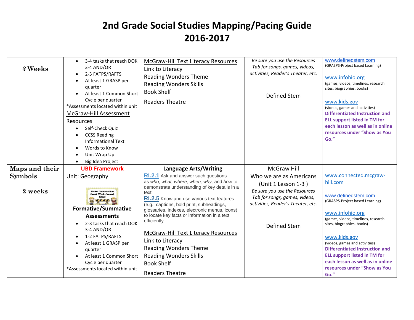| 3 Weeks                   | 3-4 tasks that reach DOK<br>$\bullet$<br>3-4 AND/OR<br>2-3 FATPS/RAFTS<br>At least 1 GRASP per<br>quarter<br>At least 1 Common Short<br>Cycle per quarter<br>*Assessments located within unit<br><b>McGraw-Hill Assessment</b><br>Resources<br>Self-Check Ouiz<br><b>CCSS Reading</b><br><b>Informational Text</b><br>Words to Know<br>Unit Wrap Up<br>Big Idea Project | McGraw-Hill Text Literacy Resources<br>Link to Literacy<br><b>Reading Wonders Theme</b><br><b>Reading Wonders Skills</b><br><b>Book Shelf</b><br><b>Readers Theatre</b>                                                                                                                                                                                                                                                                                                                                                                   | Be sure you use the Resources<br>Tab for songs, games, videos,<br>activities, Reader's Theater, etc.<br>Defined Stem                                                   | www.definedstem.com<br>(GRASPS-Project based Learning)<br>www.infohio.org<br>(games, videos, timelines, research<br>sites, biographies, books)<br>www.kids.gov<br>(videos, games and activities)<br><b>Differentiated Instruction and</b><br><b>ELL support listed in TM for</b><br>each lesson as well as in online<br>resources under "Show as You<br>Go."                                      |
|---------------------------|-------------------------------------------------------------------------------------------------------------------------------------------------------------------------------------------------------------------------------------------------------------------------------------------------------------------------------------------------------------------------|-------------------------------------------------------------------------------------------------------------------------------------------------------------------------------------------------------------------------------------------------------------------------------------------------------------------------------------------------------------------------------------------------------------------------------------------------------------------------------------------------------------------------------------------|------------------------------------------------------------------------------------------------------------------------------------------------------------------------|---------------------------------------------------------------------------------------------------------------------------------------------------------------------------------------------------------------------------------------------------------------------------------------------------------------------------------------------------------------------------------------------------|
| Maps and their            | <b>UBD Framework</b>                                                                                                                                                                                                                                                                                                                                                    | <b>Language Arts/Writing</b>                                                                                                                                                                                                                                                                                                                                                                                                                                                                                                              | <b>McGraw Hill</b>                                                                                                                                                     |                                                                                                                                                                                                                                                                                                                                                                                                   |
| <b>Symbols</b><br>2 weeks | Unit: Geography<br><b>Under Construction</b><br><b>Great Work Coming</b><br><b>Formative/Summative</b><br><b>Assessments</b><br>2-3 tasks that reach DOK<br>3-4 AND/OR<br>1-2 FATPS/RAFTS<br>$\bullet$<br>At least 1 GRASP per<br>$\bullet$<br>quarter<br>At least 1 Common Short<br>Cycle per quarter<br>*Assessments located within unit                              | RI.2.1 Ask and answer such questions<br>as who, what, where, when, why, and how to<br>demonstrate understanding of key details in a<br>text.<br><b>RI.2.5</b> Know and use various text features<br>(e.g., captions, bold print, subheadings,<br>glossaries, indexes, electronic menus, icons)<br>to locate key facts or information in a text<br>efficiently.<br>McGraw-Hill Text Literacy Resources<br>Link to Literacy<br><b>Reading Wonders Theme</b><br><b>Reading Wonders Skills</b><br><b>Book Shelf</b><br><b>Readers Theatre</b> | Who we are as Americans<br>(Unit 1 Lesson 1-3)<br>Be sure you use the Resources<br>Tab for songs, games, videos,<br>activities, Reader's Theater, etc.<br>Defined Stem | www.connected.mcgraw-<br>hill.com<br>www.definedstem.com<br>(GRASPS-Project based Learning)<br>www.infohio.org<br>(games, videos, timelines, research<br>sites, biographies, books)<br>www.kids.gov<br>(videos, games and activities)<br><b>Differentiated Instruction and</b><br><b>ELL support listed in TM for</b><br>each lesson as well as in online<br>resources under "Show as You<br>Go." |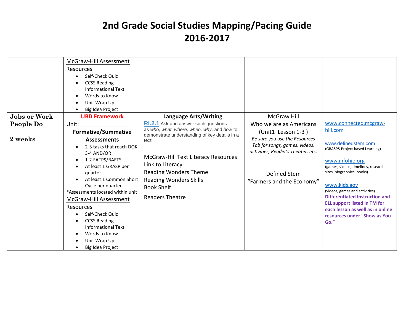|                     | McGraw-Hill Assessment<br>Resources<br>Self-Check Quiz<br><b>CCSS Reading</b><br>Informational Text<br>Words to Know<br>Unit Wrap Up<br>Big Idea Project                                                                                                                                                                                                                               |                                                                                                                                                                                         |                                                                                                                                                   |                                                                                                                                                                                                                                                                                                                                                              |
|---------------------|----------------------------------------------------------------------------------------------------------------------------------------------------------------------------------------------------------------------------------------------------------------------------------------------------------------------------------------------------------------------------------------|-----------------------------------------------------------------------------------------------------------------------------------------------------------------------------------------|---------------------------------------------------------------------------------------------------------------------------------------------------|--------------------------------------------------------------------------------------------------------------------------------------------------------------------------------------------------------------------------------------------------------------------------------------------------------------------------------------------------------------|
| <b>Jobs or Work</b> | <b>UBD Framework</b>                                                                                                                                                                                                                                                                                                                                                                   | <b>Language Arts/Writing</b>                                                                                                                                                            | <b>McGraw Hill</b>                                                                                                                                |                                                                                                                                                                                                                                                                                                                                                              |
| People Do           | Unit:                                                                                                                                                                                                                                                                                                                                                                                  | <b>RI.2.1</b> Ask and answer such questions<br>as who, what, where, when, why, and how to                                                                                               | Who we are as Americans                                                                                                                           | www.connected.mcgraw-<br>hill.com                                                                                                                                                                                                                                                                                                                            |
|                     | <b>Formative/Summative</b>                                                                                                                                                                                                                                                                                                                                                             | demonstrate understanding of key details in a                                                                                                                                           | (Unit1 Lesson 1-3)                                                                                                                                |                                                                                                                                                                                                                                                                                                                                                              |
| 2 weeks             | <b>Assessments</b><br>2-3 tasks that reach DOK<br>3-4 AND/OR<br>1-2 FATPS/RAFTS<br>At least 1 GRASP per<br>$\bullet$<br>quarter<br>At least 1 Common Short<br>Cycle per quarter<br>*Assessments located within unit<br>McGraw-Hill Assessment<br>Resources<br>Self-Check Quiz<br><b>CCSS Reading</b><br><b>Informational Text</b><br>Words to Know<br>Unit Wrap Up<br>Big Idea Project | text.<br><b>McGraw-Hill Text Literacy Resources</b><br>Link to Literacy<br><b>Reading Wonders Theme</b><br><b>Reading Wonders Skills</b><br><b>Book Shelf</b><br><b>Readers Theatre</b> | Be sure you use the Resources<br>Tab for songs, games, videos,<br>activities, Reader's Theater, etc.<br>Defined Stem<br>"Farmers and the Economy" | www.definedstem.com<br>(GRASPS-Project based Learning)<br>www.infohio.org<br>(games, videos, timelines, research<br>sites, biographies, books)<br>www.kids.gov<br>(videos, games and activities)<br><b>Differentiated Instruction and</b><br><b>ELL support listed in TM for</b><br>each lesson as well as in online<br>resources under "Show as You<br>Go." |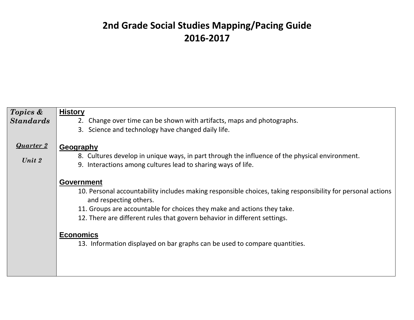| Topics &                   | <b>History</b>                                                                                                                                                                                                                                                                                                                                                                                                       |
|----------------------------|----------------------------------------------------------------------------------------------------------------------------------------------------------------------------------------------------------------------------------------------------------------------------------------------------------------------------------------------------------------------------------------------------------------------|
| <b>Standards</b>           | 2. Change over time can be shown with artifacts, maps and photographs.                                                                                                                                                                                                                                                                                                                                               |
|                            | 3. Science and technology have changed daily life.                                                                                                                                                                                                                                                                                                                                                                   |
| <b>Quarter 2</b><br>Unit 2 | Geography<br>8. Cultures develop in unique ways, in part through the influence of the physical environment.<br>9. Interactions among cultures lead to sharing ways of life.                                                                                                                                                                                                                                          |
|                            | <b>Government</b><br>10. Personal accountability includes making responsible choices, taking responsibility for personal actions<br>and respecting others.<br>11. Groups are accountable for choices they make and actions they take.<br>12. There are different rules that govern behavior in different settings.<br><b>Economics</b><br>13. Information displayed on bar graphs can be used to compare quantities. |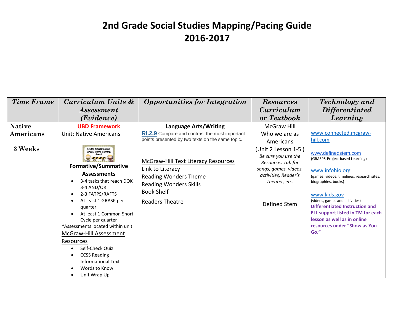| <b>Time Frame</b> | Curriculum Units &                                                                                                                                                                                                                                                                                                                                                                                                  | <b>Opportunities for Integration</b>                                                                                                                                    | <b>Resources</b>                                                                                                                                  | <b>Technology</b> and                                                                                                                                                                                                                                                                                                                                 |
|-------------------|---------------------------------------------------------------------------------------------------------------------------------------------------------------------------------------------------------------------------------------------------------------------------------------------------------------------------------------------------------------------------------------------------------------------|-------------------------------------------------------------------------------------------------------------------------------------------------------------------------|---------------------------------------------------------------------------------------------------------------------------------------------------|-------------------------------------------------------------------------------------------------------------------------------------------------------------------------------------------------------------------------------------------------------------------------------------------------------------------------------------------------------|
|                   | <i>Assessment</i>                                                                                                                                                                                                                                                                                                                                                                                                   |                                                                                                                                                                         | <i>Curriculum</i>                                                                                                                                 | <i>Differentiated</i>                                                                                                                                                                                                                                                                                                                                 |
|                   | (Evidence)                                                                                                                                                                                                                                                                                                                                                                                                          |                                                                                                                                                                         | or Textbook                                                                                                                                       | Learning                                                                                                                                                                                                                                                                                                                                              |
| <b>Native</b>     | <b>UBD Framework</b>                                                                                                                                                                                                                                                                                                                                                                                                | Language Arts/Writing                                                                                                                                                   | McGraw Hill                                                                                                                                       |                                                                                                                                                                                                                                                                                                                                                       |
| Americans         | <b>Unit: Native Americans</b>                                                                                                                                                                                                                                                                                                                                                                                       | <b>RI.2.9</b> Compare and contrast the most important<br>points presented by two texts on the same topic.                                                               | Who we are as<br>Americans                                                                                                                        | www.connected.mcgraw-<br>hill.com                                                                                                                                                                                                                                                                                                                     |
| 3 Weeks           | <b>Linder Construction</b><br><b>Great Work Coming</b><br><b>Formative/Summative</b><br><b>Assessments</b><br>3-4 tasks that reach DOK<br>3-4 AND/OR<br>2-3 FATPS/RAFTS<br>At least 1 GRASP per<br>quarter<br>At least 1 Common Short<br>Cycle per quarter<br>*Assessments located within unit<br><b>McGraw-Hill Assessment</b><br>Resources<br>Self-Check Quiz<br><b>CCSS Reading</b><br><b>Informational Text</b> | <b>McGraw-Hill Text Literacy Resources</b><br>Link to Literacy<br>Reading Wonders Theme<br><b>Reading Wonders Skills</b><br><b>Book Shelf</b><br><b>Readers Theatre</b> | (Unit 2 Lesson 1-5)<br>Be sure you use the<br>Resources Tab for<br>songs, games, videos,<br>activities, Reader's<br>Theater, etc.<br>Defined Stem | www.definedstem.com<br>(GRASPS-Project based Learning)<br>www.infohio.org<br>(games, videos, timelines, research sites,<br>biographies, books)<br>www.kids.gov<br>(videos, games and activities)<br>Differentiated Instruction and<br><b>ELL support listed in TM for each</b><br>lesson as well as in online<br>resources under "Show as You<br>Go." |
|                   | Words to Know<br>Unit Wrap Up                                                                                                                                                                                                                                                                                                                                                                                       |                                                                                                                                                                         |                                                                                                                                                   |                                                                                                                                                                                                                                                                                                                                                       |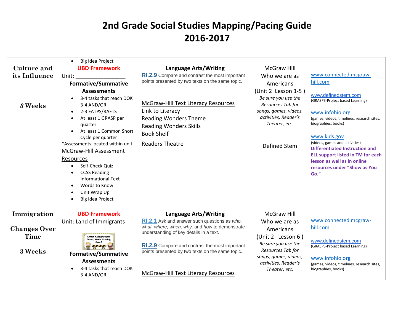|                             | Big Idea Project<br>$\bullet$                                                                                                                                                                                                                                                                                                                                                          |                                                                                                                                                                         |                                                                                                                                                   |                                                                                                                                                                                                                                                                                                                                                              |
|-----------------------------|----------------------------------------------------------------------------------------------------------------------------------------------------------------------------------------------------------------------------------------------------------------------------------------------------------------------------------------------------------------------------------------|-------------------------------------------------------------------------------------------------------------------------------------------------------------------------|---------------------------------------------------------------------------------------------------------------------------------------------------|--------------------------------------------------------------------------------------------------------------------------------------------------------------------------------------------------------------------------------------------------------------------------------------------------------------------------------------------------------------|
| Culture and                 | <b>UBD Framework</b>                                                                                                                                                                                                                                                                                                                                                                   | <b>Language Arts/Writing</b>                                                                                                                                            | <b>McGraw Hill</b>                                                                                                                                |                                                                                                                                                                                                                                                                                                                                                              |
| its Influence               | Unit:                                                                                                                                                                                                                                                                                                                                                                                  | RI.2.9 Compare and contrast the most important                                                                                                                          | Who we are as                                                                                                                                     | www.connected.mcgraw-                                                                                                                                                                                                                                                                                                                                        |
|                             | <b>Formative/Summative</b>                                                                                                                                                                                                                                                                                                                                                             | points presented by two texts on the same topic.                                                                                                                        | Americans                                                                                                                                         | hill.com                                                                                                                                                                                                                                                                                                                                                     |
| 3 Weeks                     | <b>Assessments</b><br>3-4 tasks that reach DOK<br>3-4 AND/OR<br>2-3 FATPS/RAFTS<br>$\bullet$<br>At least 1 GRASP per<br>quarter<br>At least 1 Common Short<br>Cycle per quarter<br>*Assessments located within unit<br>McGraw-Hill Assessment<br>Resources<br>Self-Check Quiz<br><b>CCSS Reading</b><br><b>Informational Text</b><br>Words to Know<br>Unit Wrap Up<br>Big Idea Project | McGraw-Hill Text Literacy Resources<br>Link to Literacy<br><b>Reading Wonders Theme</b><br><b>Reading Wonders Skills</b><br><b>Book Shelf</b><br><b>Readers Theatre</b> | (Unit 2 Lesson 1-5)<br>Be sure you use the<br>Resources Tab for<br>songs, games, videos,<br>activities, Reader's<br>Theater, etc.<br>Defined Stem | www.definedstem.com<br>(GRASPS-Project based Learning)<br>www.infohio.org<br>(games, videos, timelines, research sites,<br>biographies, books)<br>www.kids.gov<br>(videos, games and activities)<br><b>Differentiated Instruction and</b><br><b>ELL support listed in TM for each</b><br>lesson as well as in online<br>resources under "Show as You<br>Go." |
|                             |                                                                                                                                                                                                                                                                                                                                                                                        |                                                                                                                                                                         |                                                                                                                                                   |                                                                                                                                                                                                                                                                                                                                                              |
| Immigration                 | <b>UBD Framework</b>                                                                                                                                                                                                                                                                                                                                                                   | <b>Language Arts/Writing</b>                                                                                                                                            | <b>McGraw Hill</b>                                                                                                                                |                                                                                                                                                                                                                                                                                                                                                              |
| <b>Changes Over</b><br>Time | Unit: Land of Immigrants<br><b>Linder Construction</b><br><b>Great Work Coming</b>                                                                                                                                                                                                                                                                                                     | RI.2.1 Ask and answer such questions as who,<br>what, where, when, why, and how to demonstrate<br>understanding of key details in a text.                               | Who we are as<br>Americans<br>(Unit 2 Lesson 6)<br>Be sure you use the                                                                            | www.connected.mcgraw-<br>hill.com<br>www.definedstem.com                                                                                                                                                                                                                                                                                                     |
| 3 Weeks                     | <b>Formative/Summative</b><br><b>Assessments</b>                                                                                                                                                                                                                                                                                                                                       | RI.2.9 Compare and contrast the most important<br>points presented by two texts on the same topic.                                                                      | Resources Tab for<br>songs, games, videos,                                                                                                        | (GRASPS-Project based Learning)<br>www.infohio.org                                                                                                                                                                                                                                                                                                           |
|                             | 3-4 tasks that reach DOK<br>3-4 AND/OR                                                                                                                                                                                                                                                                                                                                                 | McGraw-Hill Text Literacy Resources                                                                                                                                     | activities, Reader's<br>Theater, etc.                                                                                                             | (games, videos, timelines, research sites,<br>biographies, books)                                                                                                                                                                                                                                                                                            |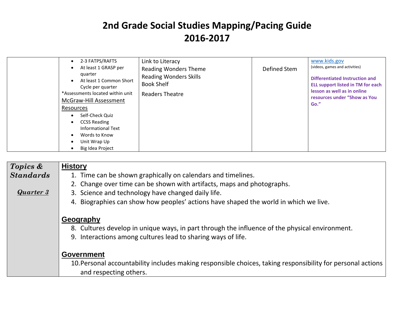| 2-3 FATPS/RAFTS<br>At least 1 GRASP per<br>quarter<br>At least 1 Common Short<br>Cycle per quarter<br>*Assessments located within unit<br>McGraw-Hill Assessment<br>Resources<br>Self-Check Quiz<br><b>CCSS Reading</b><br><b>Informational Text</b><br>Words to Know | Link to Literacy<br><b>Reading Wonders Theme</b><br><b>Reading Wonders Skills</b><br><b>Book Shelf</b><br>Readers Theatre | Defined Stem | www.kids.gov<br>(videos, games and activities)<br>Differentiated Instruction and<br><b>ELL support listed in TM for each</b><br>lesson as well as in online<br>resources under "Show as You<br>Go." |
|-----------------------------------------------------------------------------------------------------------------------------------------------------------------------------------------------------------------------------------------------------------------------|---------------------------------------------------------------------------------------------------------------------------|--------------|-----------------------------------------------------------------------------------------------------------------------------------------------------------------------------------------------------|
| Unit Wrap Up<br>Big Idea Project                                                                                                                                                                                                                                      |                                                                                                                           |              |                                                                                                                                                                                                     |

| Topics &         | <b>History</b>                                                                                                                        |
|------------------|---------------------------------------------------------------------------------------------------------------------------------------|
| <b>Standards</b> | 1. Time can be shown graphically on calendars and timelines.                                                                          |
|                  | 2. Change over time can be shown with artifacts, maps and photographs.                                                                |
| Quarter 3        | 3. Science and technology have changed daily life.                                                                                    |
|                  | 4. Biographies can show how peoples' actions have shaped the world in which we live.                                                  |
|                  | Geography                                                                                                                             |
|                  | 8. Cultures develop in unique ways, in part through the influence of the physical environment.                                        |
|                  | 9. Interactions among cultures lead to sharing ways of life.                                                                          |
|                  | <b>Government</b>                                                                                                                     |
|                  | 10. Personal accountability includes making responsible choices, taking responsibility for personal actions<br>and respecting others. |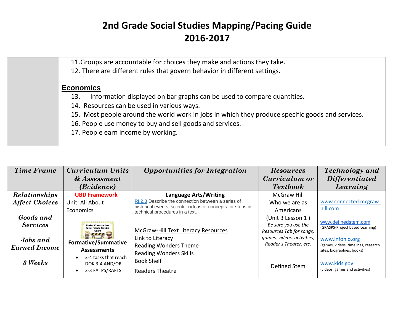| 11. Groups are accountable for choices they make and actions they take.                          |
|--------------------------------------------------------------------------------------------------|
| 12. There are different rules that govern behavior in different settings.                        |
| <b>Economics</b>                                                                                 |
| Information displayed on bar graphs can be used to compare quantities.<br>13.                    |
| 14. Resources can be used in various ways.                                                       |
| 15. Most people around the world work in jobs in which they produce specific goods and services. |
| 16. People use money to buy and sell goods and services.                                         |
| 17. People earn income by working.                                                               |
|                                                                                                  |

| <b>Time Frame</b>     | Curriculum Units                                      | <b>Opportunities for Integration</b>                                                            | <b>Resources</b>                                     | <b>Technology</b> and                                             |
|-----------------------|-------------------------------------------------------|-------------------------------------------------------------------------------------------------|------------------------------------------------------|-------------------------------------------------------------------|
|                       | & Assessment                                          |                                                                                                 | Curriculum or                                        | <i>Differentiated</i>                                             |
|                       | (Evidence)                                            |                                                                                                 | <b>Textbook</b>                                      | Learning                                                          |
| Relationships         | <b>UBD Framework</b>                                  | <b>Language Arts/Writing</b>                                                                    | <b>McGraw Hill</b>                                   |                                                                   |
| <b>Affect Choices</b> | Unit: All About                                       | RI.2.3 Describe the connection between a series of                                              | Who we are as                                        | www.connected.mcgraw-                                             |
|                       | <b>Economics</b>                                      | historical events, scientific ideas or concepts, or steps in<br>technical procedures in a text. | Americans                                            | hill.com                                                          |
| Goods and             |                                                       |                                                                                                 | (Unit 3 Lesson 1)                                    |                                                                   |
| <b>Services</b>       | <b>Under Construction</b><br><b>Great Work Coming</b> |                                                                                                 | Be sure you use the                                  | www.definedstem.com<br>(GRASPS-Project based Learning)            |
|                       |                                                       | <b>McGraw-Hill Text Literacy Resources</b>                                                      | Resources Tab for songs,                             |                                                                   |
| <b>Jobs</b> and       | <b>Formative/Summative</b>                            | Link to Literacy                                                                                | games, videos, activities,<br>Reader's Theater, etc. | www.infohio.org                                                   |
| <b>Earned Income</b>  | <b>Assessments</b>                                    | <b>Reading Wonders Theme</b>                                                                    |                                                      | (games, videos, timelines, research<br>sites, biographies, books) |
|                       | 3-4 tasks that reach                                  | <b>Reading Wonders Skills</b>                                                                   |                                                      |                                                                   |
| 3 Weeks               | DOK 3-4 AND/OR                                        | <b>Book Shelf</b>                                                                               | Defined Stem                                         | www.kids.gov                                                      |
|                       | 2-3 FATPS/RAFTS                                       | <b>Readers Theatre</b>                                                                          |                                                      | (videos, games and activities)                                    |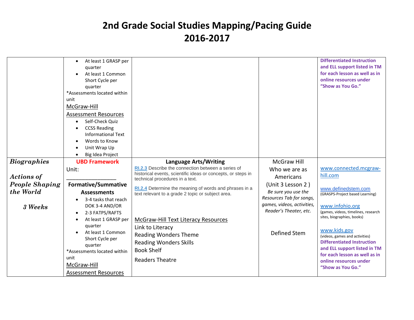|                       | At least 1 GRASP per<br>quarter<br>At least 1 Common<br>Short Cycle per<br>quarter<br>*Assessments located within<br>unit<br>McGraw-Hill<br><b>Assessment Resources</b><br>Self-Check Quiz<br><b>CCSS Reading</b><br><b>Informational Text</b><br>Words to Know<br>Unit Wrap Up<br>Big Idea Project |                                                                                                        |                                                                                  | <b>Differentiated Instruction</b><br>and ELL support listed in TM<br>for each lesson as well as in<br>online resources under<br>"Show as You Go." |
|-----------------------|-----------------------------------------------------------------------------------------------------------------------------------------------------------------------------------------------------------------------------------------------------------------------------------------------------|--------------------------------------------------------------------------------------------------------|----------------------------------------------------------------------------------|---------------------------------------------------------------------------------------------------------------------------------------------------|
| <b>Biographies</b>    | <b>UBD Framework</b><br>Unit:                                                                                                                                                                                                                                                                       | <b>Language Arts/Writing</b><br>RI.2.3 Describe the connection between a series of                     | McGraw Hill<br>Who we are as                                                     | www.connected.mcgraw-                                                                                                                             |
| <b>Actions of</b>     |                                                                                                                                                                                                                                                                                                     | historical events, scientific ideas or concepts, or steps in<br>technical procedures in a text.        | Americans                                                                        | hill.com                                                                                                                                          |
| <b>People Shaping</b> | <b>Formative/Summative</b>                                                                                                                                                                                                                                                                          | RI.2.4 Determine the meaning of words and phrases in a                                                 | (Unit 3 Lesson 2)                                                                | www.definedstem.com                                                                                                                               |
| the World             | <b>Assessments</b>                                                                                                                                                                                                                                                                                  | text relevant to a grade 2 topic or subject area.                                                      | Be sure you use the                                                              | (GRASPS-Project based Learning)                                                                                                                   |
| 3 Weeks               | 3-4 tasks that reach<br>DOK 3-4 AND/OR<br>2-3 FATPS/RAFTS<br>$\bullet$<br>At least 1 GRASP per<br>$\bullet$                                                                                                                                                                                         | McGraw-Hill Text Literacy Resources                                                                    | Resources Tab for songs,<br>games, videos, activities,<br>Reader's Theater, etc. | www.infohio.org<br>(games, videos, timelines, research<br>sites, biographies, books)                                                              |
|                       | quarter<br>At least 1 Common<br>Short Cycle per<br>quarter<br>*Assessments located within                                                                                                                                                                                                           | Link to Literacy<br><b>Reading Wonders Theme</b><br><b>Reading Wonders Skills</b><br><b>Book Shelf</b> | Defined Stem                                                                     | www.kids.gov<br>(videos, games and activities)<br><b>Differentiated Instruction</b><br>and ELL support listed in TM                               |
|                       | unit<br>McGraw-Hill<br><b>Assessment Resources</b>                                                                                                                                                                                                                                                  | <b>Readers Theatre</b>                                                                                 |                                                                                  | for each lesson as well as in<br>online resources under<br>"Show as You Go."                                                                      |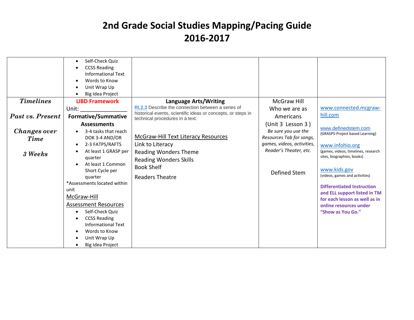| Self-Check Quiz<br><b>CCSS Reading</b><br>Informational Text<br>Words to Know<br>Unit Wrap Up<br>Big Idea Project                                                                                                                                                                                                                                         |                                                                                                                                                                                |                                                                                                                                 |                                                                                                                                                                                                                                                                                                                                                       |
|-----------------------------------------------------------------------------------------------------------------------------------------------------------------------------------------------------------------------------------------------------------------------------------------------------------------------------------------------------------|--------------------------------------------------------------------------------------------------------------------------------------------------------------------------------|---------------------------------------------------------------------------------------------------------------------------------|-------------------------------------------------------------------------------------------------------------------------------------------------------------------------------------------------------------------------------------------------------------------------------------------------------------------------------------------------------|
| <b>UBD Framework</b>                                                                                                                                                                                                                                                                                                                                      |                                                                                                                                                                                | McGraw Hill                                                                                                                     |                                                                                                                                                                                                                                                                                                                                                       |
| Unit:                                                                                                                                                                                                                                                                                                                                                     | RI.2.3 Describe the connection between a series of                                                                                                                             | Who we are as                                                                                                                   | www.connected.mcgraw-                                                                                                                                                                                                                                                                                                                                 |
|                                                                                                                                                                                                                                                                                                                                                           |                                                                                                                                                                                | Americans                                                                                                                       | hill.com                                                                                                                                                                                                                                                                                                                                              |
| <b>Assessments</b>                                                                                                                                                                                                                                                                                                                                        |                                                                                                                                                                                |                                                                                                                                 |                                                                                                                                                                                                                                                                                                                                                       |
| 3-4 tasks that reach<br>DOK 3-4 AND/OR<br>2-3 FATPS/RAFTS<br>$\bullet$<br>At least 1 GRASP per<br>quarter<br>At least 1 Common<br>Short Cycle per<br>quarter<br>*Assessments located within<br>unit<br>McGraw-Hill<br><b>Assessment Resources</b><br>Self-Check Quiz<br><b>CCSS Reading</b><br><b>Informational Text</b><br>Words to Know<br>Unit Wrap Up | <b>McGraw-Hill Text Literacy Resources</b><br>Link to Literacy<br><b>Reading Wonders Theme</b><br><b>Reading Wonders Skills</b><br><b>Book Shelf</b><br><b>Readers Theatre</b> | Be sure you use the<br>Resources Tab for songs,<br>games, videos, activities,<br>Reader's Theater, etc.<br>Defined Stem         | www.definedstem.com<br>(GRASPS-Project based Learning)<br>www.infohio.org<br>(games, videos, timelines, research<br>sites, biographies, books)<br>www.kids.gov<br>(videos, games and activities)<br><b>Differentiated Instruction</b><br>and ELL support listed in TM<br>for each lesson as well as in<br>online resources under<br>"Show as You Go." |
|                                                                                                                                                                                                                                                                                                                                                           | <b>Formative/Summative</b><br>Big Idea Project                                                                                                                                 | <b>Language Arts/Writing</b><br>historical events, scientific ideas or concepts, or steps in<br>technical procedures in a text. | (Unit 3 Lesson 3)                                                                                                                                                                                                                                                                                                                                     |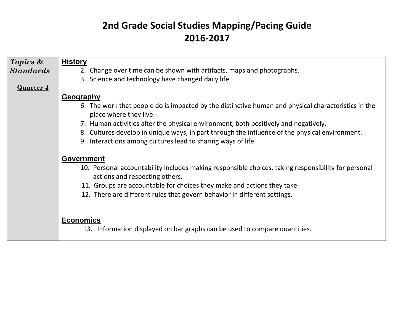| Topics &         | <b>History</b>                                                                                                                        |
|------------------|---------------------------------------------------------------------------------------------------------------------------------------|
| <b>Standards</b> | 2. Change over time can be shown with artifacts, maps and photographs.                                                                |
|                  | 3. Science and technology have changed daily life.                                                                                    |
| <b>Quarter 4</b> |                                                                                                                                       |
|                  | <b>Geography</b>                                                                                                                      |
|                  | 6. The work that people do is impacted by the distinctive human and physical characteristics in the<br>place where they live.         |
|                  | 7. Human activities alter the physical environment, both positively and negatively.                                                   |
|                  | 8. Cultures develop in unique ways, in part through the influence of the physical environment.                                        |
|                  | 9. Interactions among cultures lead to sharing ways of life.                                                                          |
|                  |                                                                                                                                       |
|                  | <b>Government</b>                                                                                                                     |
|                  | 10. Personal accountability includes making responsible choices, taking responsibility for personal<br>actions and respecting others. |
|                  | 11. Groups are accountable for choices they make and actions they take.                                                               |
|                  | 12. There are different rules that govern behavior in different settings.                                                             |
|                  |                                                                                                                                       |
|                  |                                                                                                                                       |
|                  | <b>Economics</b>                                                                                                                      |
|                  | 13. Information displayed on bar graphs can be used to compare quantities.                                                            |
|                  |                                                                                                                                       |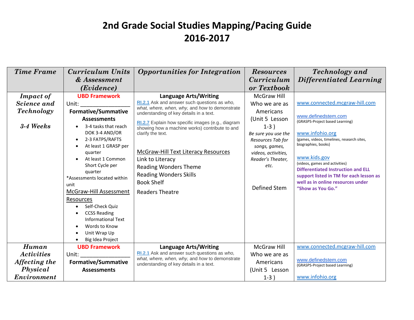| <b>Time Frame</b>                                                             | Curriculum Units<br>& Assessment<br>(Evidence)                                                                                                                                                                                                                                                                                                                                                                                                                                                     | <b>Opportunities for Integration</b>                                                                                                                                                                                                                                                                                                                                                                                                                                             | <b>Resources</b><br><i>Curriculum</i><br>or Textbook                                                                                                                                                          | <b>Technology</b> and<br>Differentiated Learning                                                                                                                                                                                                                                                                                                                                    |
|-------------------------------------------------------------------------------|----------------------------------------------------------------------------------------------------------------------------------------------------------------------------------------------------------------------------------------------------------------------------------------------------------------------------------------------------------------------------------------------------------------------------------------------------------------------------------------------------|----------------------------------------------------------------------------------------------------------------------------------------------------------------------------------------------------------------------------------------------------------------------------------------------------------------------------------------------------------------------------------------------------------------------------------------------------------------------------------|---------------------------------------------------------------------------------------------------------------------------------------------------------------------------------------------------------------|-------------------------------------------------------------------------------------------------------------------------------------------------------------------------------------------------------------------------------------------------------------------------------------------------------------------------------------------------------------------------------------|
| <b>Impact of</b><br>Science and<br><b>Technology</b><br>3-4 Weeks             | <b>UBD Framework</b><br>Unit:<br><b>Formative/Summative</b><br><b>Assessments</b><br>3-4 tasks that reach<br>DOK 3-4 AND/OR<br>2-3 FATPS/RAFTS<br>$\bullet$<br>At least 1 GRASP per<br>$\bullet$<br>quarter<br>At least 1 Common<br>$\bullet$<br>Short Cycle per<br>quarter<br>*Assessments located within<br>unit<br>McGraw-Hill Assessment<br>Resources<br>Self-Check Quiz<br><b>CCSS Reading</b><br>$\bullet$<br><b>Informational Text</b><br>Words to Know<br>Unit Wrap Up<br>Big Idea Project | <b>Language Arts/Writing</b><br>RI.2.1 Ask and answer such questions as who,<br>what, where, when, why, and how to demonstrate<br>understanding of key details in a text.<br>RI.2.7 Explain how specific images (e.g., diagram<br>showing how a machine works) contribute to and<br>clarify the text.<br>McGraw-Hill Text Literacy Resources<br>Link to Literacy<br><b>Reading Wonders Theme</b><br><b>Reading Wonders Skills</b><br><b>Book Shelf</b><br><b>Readers Theatre</b> | <b>McGraw Hill</b><br>Who we are as<br>Americans<br>(Unit 5 Lesson<br>$1-3)$<br>Be sure you use the<br>Resources Tab for<br>songs, games,<br>videos, activities,<br>Reader's Theater,<br>etc.<br>Defined Stem | www.connected.mcgraw-hill.com<br>www.definedstem.com<br>(GRASPS-Project based Learning)<br>www.infohio.org<br>(games, videos, timelines, research sites,<br>biographies, books)<br>www.kids.gov<br>(videos, games and activities)<br><b>Differentiated Instruction and ELL</b><br>support listed in TM for each lesson as<br>well as in online resources under<br>"Show as You Go." |
| <b>Human</b><br><b>Activities</b><br>Affecting the<br>Physical<br>Environment | <b>UBD Framework</b><br>Unit:<br><b>Formative/Summative</b><br><b>Assessments</b>                                                                                                                                                                                                                                                                                                                                                                                                                  | <b>Language Arts/Writing</b><br>RI.2.1 Ask and answer such questions as who,<br>what, where, when, why, and how to demonstrate<br>understanding of key details in a text.                                                                                                                                                                                                                                                                                                        | <b>McGraw Hill</b><br>Who we are as<br>Americans<br>(Unit 5 Lesson<br>$1-3)$                                                                                                                                  | www.connected.mcgraw-hill.com<br>www.definedstem.com<br>(GRASPS-Project based Learning)<br>www.infohio.org                                                                                                                                                                                                                                                                          |